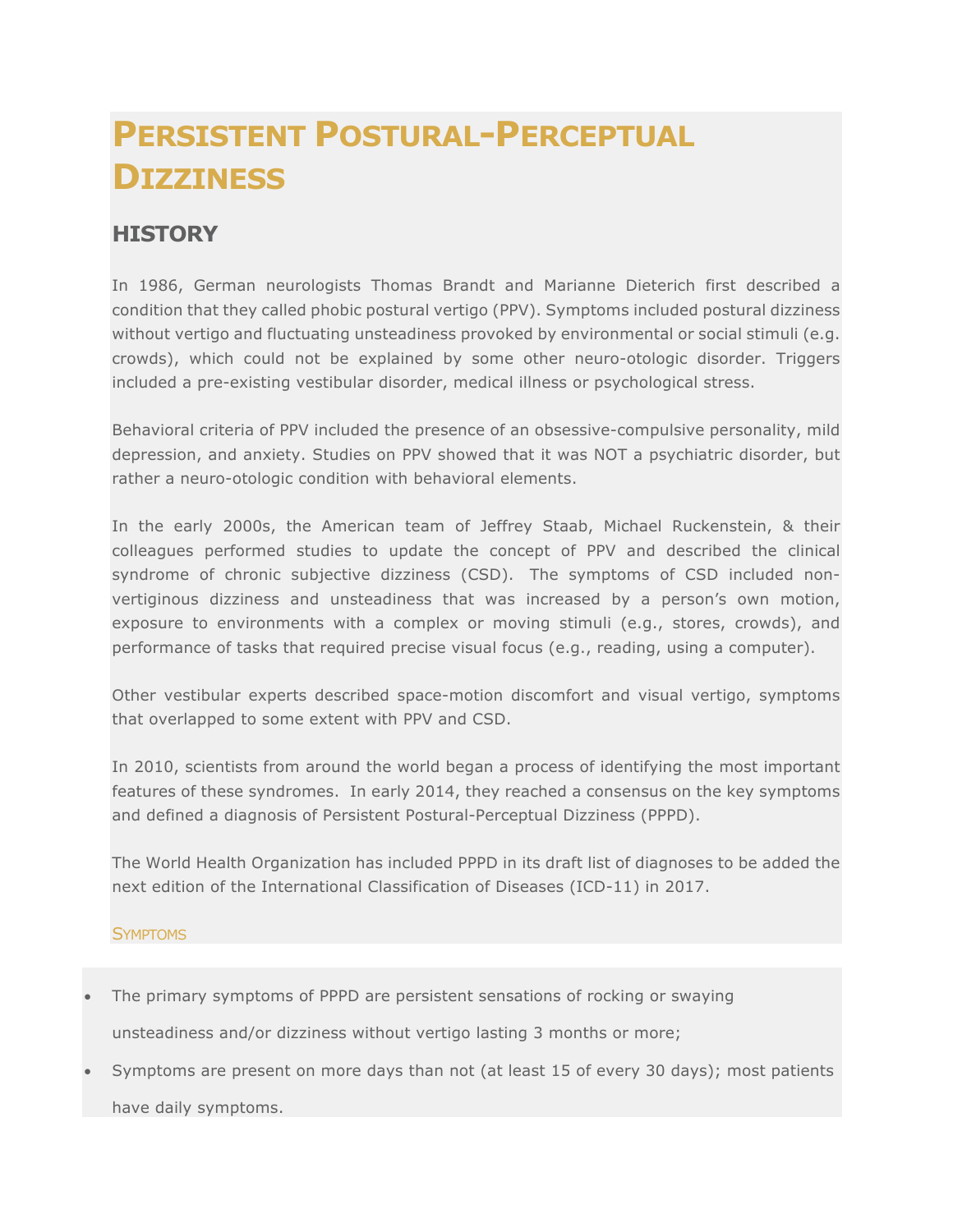# **PERSISTENT POSTURAL-PERCEPTUAL DIZZINESS**

# **HISTORY**

In 1986, German neurologists Thomas Brandt and Marianne Dieterich first described a condition that they called phobic postural vertigo (PPV). Symptoms included postural dizziness without vertigo and fluctuating unsteadiness provoked by environmental or social stimuli (e.g. crowds), which could not be explained by some other neuro-otologic disorder. Triggers included a pre-existing vestibular disorder, medical illness or psychological stress.

Behavioral criteria of PPV included the presence of an obsessive-compulsive personality, mild depression, and anxiety. Studies on PPV showed that it was NOT a psychiatric disorder, but rather a neuro-otologic condition with behavioral elements.

In the early 2000s, the American team of Jeffrey Staab, Michael Ruckenstein, & their colleagues performed studies to update the concept of PPV and described the clinical syndrome of chronic subjective dizziness (CSD). The symptoms of CSD included nonvertiginous dizziness and unsteadiness that was increased by a person's own motion, exposure to environments with a complex or moving stimuli (e.g., stores, crowds), and performance of tasks that required precise visual focus (e.g., reading, using a computer).

Other vestibular experts described space-motion discomfort and visual vertigo, symptoms that overlapped to some extent with PPV and CSD.

In 2010, scientists from around the world began a process of identifying the most important features of these syndromes. In early 2014, they reached a consensus on the key symptoms and defined a diagnosis of Persistent Postural-Perceptual Dizziness (PPPD).

The World Health Organization has included PPPD in its draft list of diagnoses to be added the next edition of the International Classification of Diseases (ICD-11) in 2017.

## **SYMPTOMS**

- The primary symptoms of PPPD are persistent sensations of rocking or swaying unsteadiness and/or dizziness without vertigo lasting 3 months or more;
- Symptoms are present on more days than not (at least 15 of every 30 days); most patients have daily symptoms.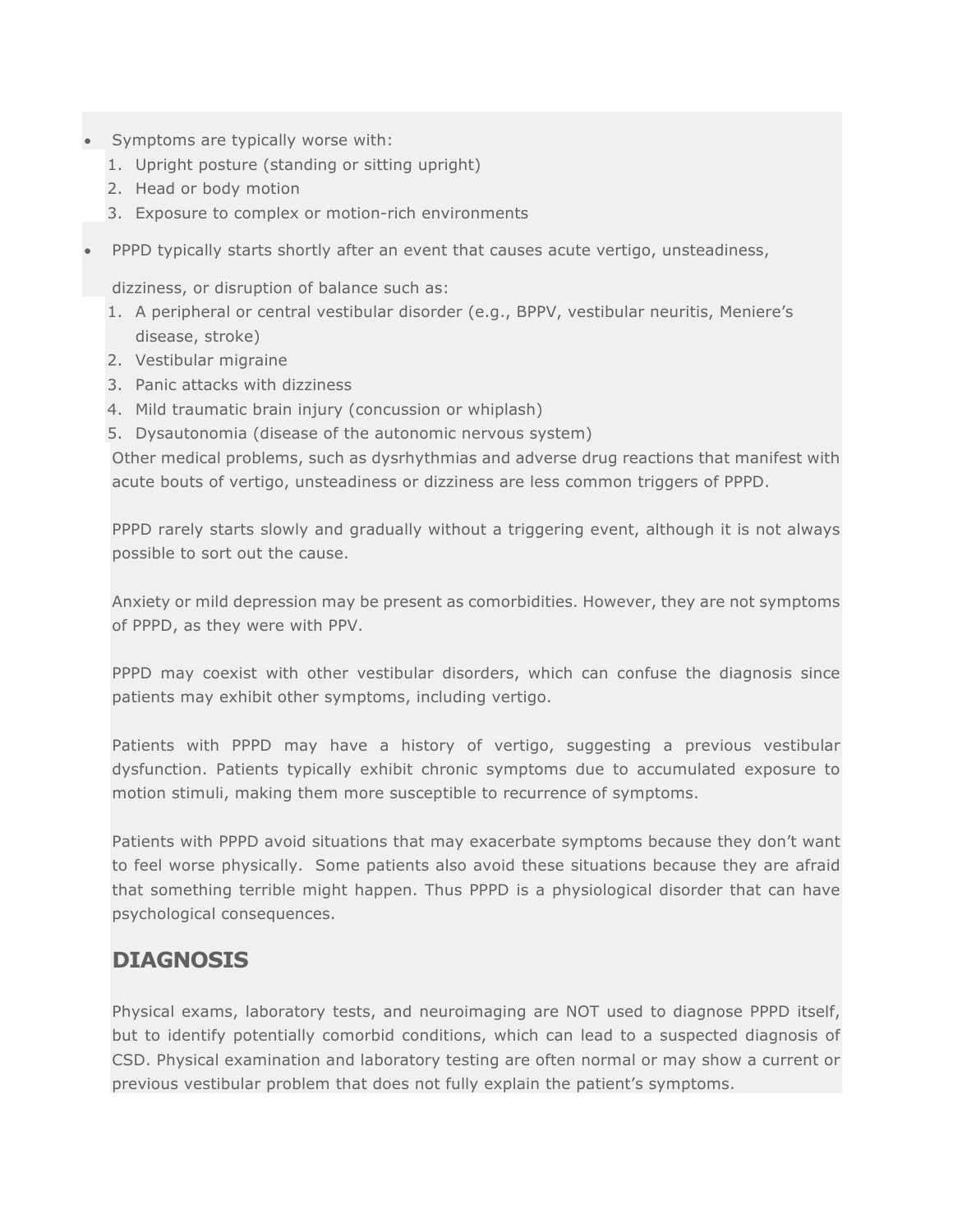- Symptoms are typically worse with:
	- 1. Upright posture (standing or sitting upright)
	- 2. Head or body motion
	- 3. Exposure to complex or motion-rich environments
	- PPPD typically starts shortly after an event that causes acute vertigo, unsteadiness,

dizziness, or disruption of balance such as:

- 1. A peripheral or central vestibular disorder (e.g., BPPV, vestibular neuritis, Meniere's disease, stroke)
- 2. Vestibular migraine
- 3. Panic attacks with dizziness
- 4. Mild traumatic brain injury (concussion or whiplash)
- 5. Dysautonomia (disease of the autonomic nervous system)

Other medical problems, such as dysrhythmias and adverse drug reactions that manifest with acute bouts of vertigo, unsteadiness or dizziness are less common triggers of PPPD.

PPPD rarely starts slowly and gradually without a triggering event, although it is not always possible to sort out the cause.

Anxiety or mild depression may be present as comorbidities. However, they are not symptoms of PPPD, as they were with PPV.

PPPD may coexist with other vestibular disorders, which can confuse the diagnosis since patients may exhibit other symptoms, including vertigo.

Patients with PPPD may have a history of vertigo, suggesting a previous vestibular dysfunction. Patients typically exhibit chronic symptoms due to accumulated exposure to motion stimuli, making them more susceptible to recurrence of symptoms.

Patients with PPPD avoid situations that may exacerbate symptoms because they don't want to feel worse physically. Some patients also avoid these situations because they are afraid that something terrible might happen. Thus PPPD is a physiological disorder that can have psychological consequences.

# **DIAGNOSIS**

Physical exams, laboratory tests, and neuroimaging are NOT used to diagnose PPPD itself, but to identify potentially comorbid conditions, which can lead to a suspected diagnosis of CSD. Physical examination and laboratory testing are often normal or may show a current or previous vestibular problem that does not fully explain the patient's symptoms.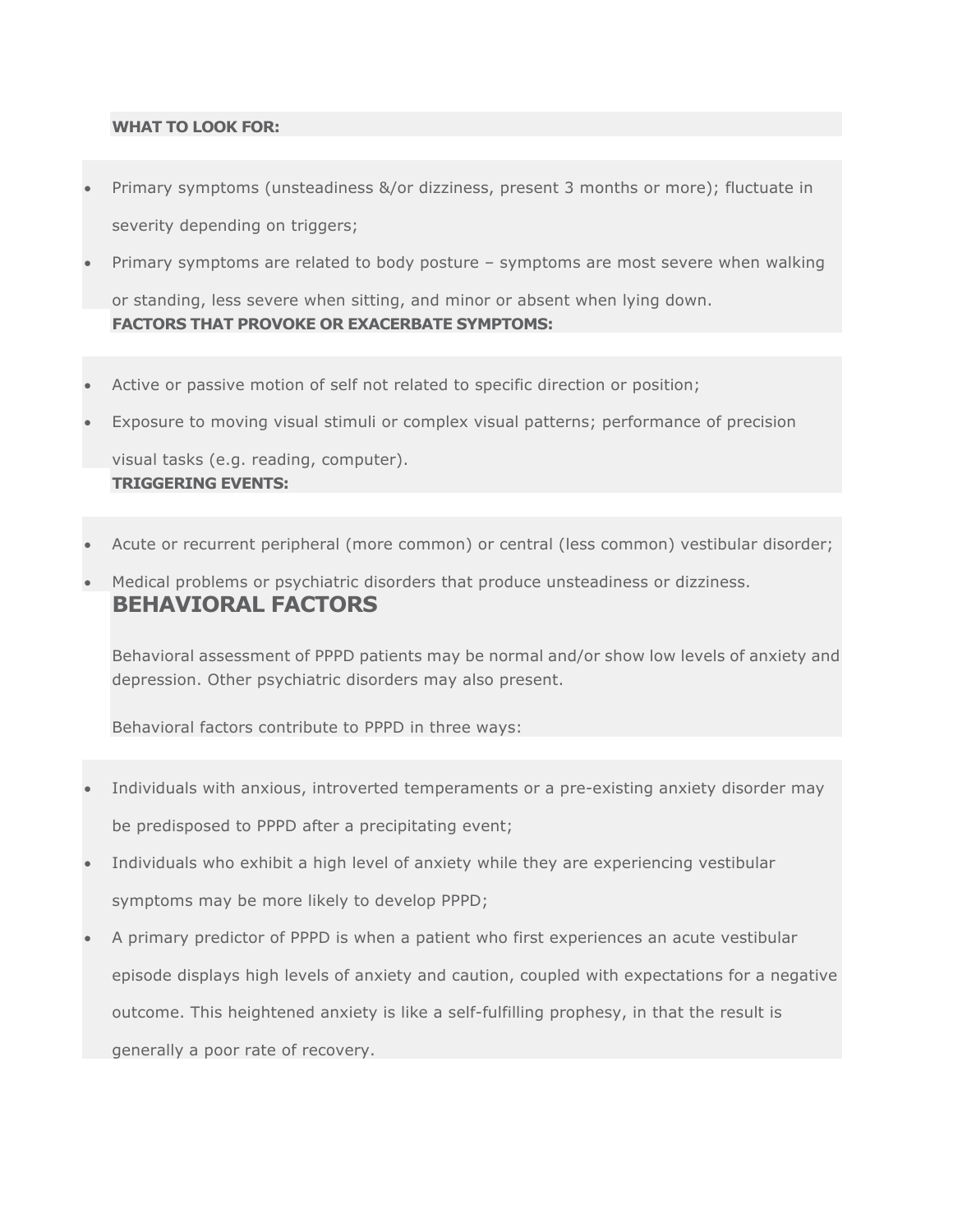#### **WHAT TO LOOK FOR:**

- Primary symptoms (unsteadiness &/or dizziness, present 3 months or more); fluctuate in severity depending on triggers;
- Primary symptoms are related to body posture symptoms are most severe when walking or standing, less severe when sitting, and minor or absent when lying down. **FACTORS THAT PROVOKE OR EXACERBATE SYMPTOMS:**
- Active or passive motion of self not related to specific direction or position;
- Exposure to moving visual stimuli or complex visual patterns; performance of precision

visual tasks (e.g. reading, computer). **TRIGGERING EVENTS:**

- Acute or recurrent peripheral (more common) or central (less common) vestibular disorder;
- Medical problems or psychiatric disorders that produce unsteadiness or dizziness. **BEHAVIORAL FACTORS**

Behavioral assessment of PPPD patients may be normal and/or show low levels of anxiety and depression. Other psychiatric disorders may also present.

Behavioral factors contribute to PPPD in three ways:

- Individuals with anxious, introverted temperaments or a pre-existing anxiety disorder may be predisposed to PPPD after a precipitating event;
- Individuals who exhibit a high level of anxiety while they are experiencing vestibular symptoms may be more likely to develop PPPD;
- A primary predictor of PPPD is when a patient who first experiences an acute vestibular episode displays high levels of anxiety and caution, coupled with expectations for a negative outcome. This heightened anxiety is like a self-fulfilling prophesy, in that the result is generally a poor rate of recovery.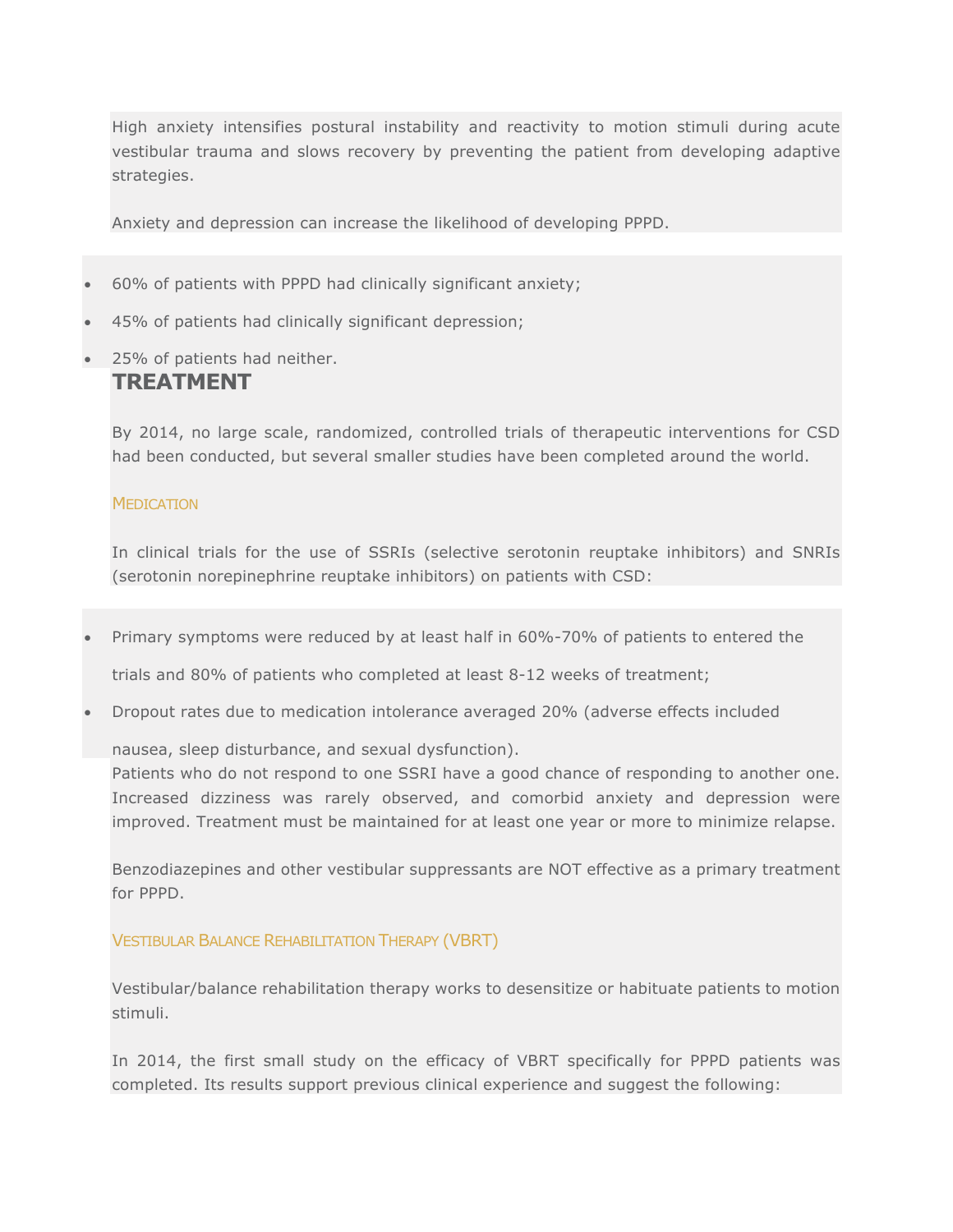High anxiety intensifies postural instability and reactivity to motion stimuli during acute vestibular trauma and slows recovery by preventing the patient from developing adaptive strategies.

Anxiety and depression can increase the likelihood of developing PPPD.

- 60% of patients with PPPD had clinically significant anxiety;
- 45% of patients had clinically significant depression;
- 25% of patients had neither.

## **TREATMENT**

By 2014, no large scale, randomized, controlled trials of therapeutic interventions for CSD had been conducted, but several smaller studies have been completed around the world.

#### **MEDICATION**

In clinical trials for the use of SSRIs (selective serotonin reuptake inhibitors) and SNRIs (serotonin norepinephrine reuptake inhibitors) on patients with CSD:

• Primary symptoms were reduced by at least half in 60%-70% of patients to entered the

trials and 80% of patients who completed at least 8-12 weeks of treatment;

• Dropout rates due to medication intolerance averaged 20% (adverse effects included

nausea, sleep disturbance, and sexual dysfunction).

Patients who do not respond to one SSRI have a good chance of responding to another one. Increased dizziness was rarely observed, and comorbid anxiety and depression were improved. Treatment must be maintained for at least one year or more to minimize relapse.

Benzodiazepines and other vestibular suppressants are NOT effective as a primary treatment for PPPD.

### VESTIBULAR BALANCE REHABILITATION THERAPY (VBRT)

Vestibular/balance rehabilitation therapy works to desensitize or habituate patients to motion stimuli.

In 2014, the first small study on the efficacy of VBRT specifically for PPPD patients was completed. Its results support previous clinical experience and suggest the following: